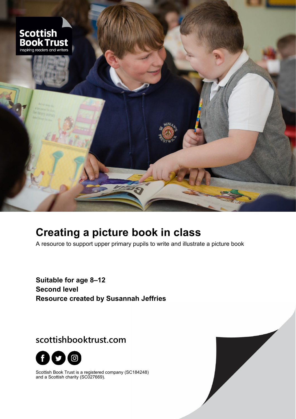

# **Creating a picture book in class**

A resource to support upper primary pupils to write and illustrate a picture book

**Suitable for age 8–12 Second level Resource created by Susannah Jeffries**

**scottishbooktrust.com**



Scottish Book Trust is a registered company (SC184248) and a Scottish charity (SC027669).

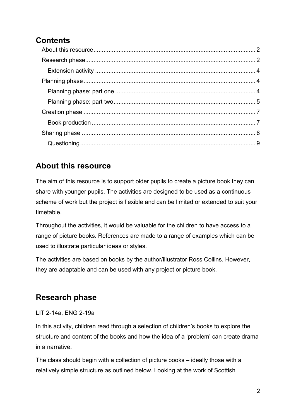# **Contents**

# <span id="page-1-0"></span>**About this resource**

The aim of this resource is to support older pupils to create a picture book they can share with younger pupils. The activities are designed to be used as a continuous scheme of work but the project is flexible and can be limited or extended to suit your timetable.

Throughout the activities, it would be valuable for the children to have access to a range of picture books. References are made to a range of examples which can be used to illustrate particular ideas or styles.

The activities are based on books by the author/illustrator Ross Collins. However, they are adaptable and can be used with any project or picture book.

# <span id="page-1-1"></span>**Research phase**

#### LIT 2-14a, ENG 2-19a

In this activity, children read through a selection of children's books to explore the structure and content of the books and how the idea of a 'problem' can create drama in a narrative.

The class should begin with a collection of picture books – ideally those with a relatively simple structure as outlined below. Looking at the work of Scottish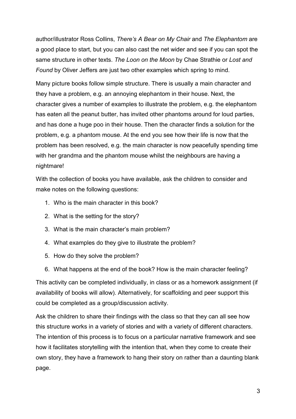author/illustrator Ross Collins, *There's A Bear on My Chair* and *The Elephantom* are a good place to start, but you can also cast the net wider and see if you can spot the same structure in other texts. *The Loon on the Moon* by Chae Strathie or *Lost and Found* by Oliver Jeffers are just two other examples which spring to mind.

Many picture books follow simple structure. There is usually a main character and they have a problem, e.g. an annoying elephantom in their house. Next, the character gives a number of examples to illustrate the problem, e.g. the elephantom has eaten all the peanut butter, has invited other phantoms around for loud parties, and has done a huge poo in their house. Then the character finds a solution for the problem, e.g. a phantom mouse. At the end you see how their life is now that the problem has been resolved, e.g. the main character is now peacefully spending time with her grandma and the phantom mouse whilst the neighbours are having a nightmare!

With the collection of books you have available, ask the children to consider and make notes on the following questions:

- 1. Who is the main character in this book?
- 2. What is the setting for the story?
- 3. What is the main character's main problem?
- 4. What examples do they give to illustrate the problem?
- 5. How do they solve the problem?
- 6. What happens at the end of the book? How is the main character feeling?

This activity can be completed individually, in class or as a homework assignment (if availability of books will allow). Alternatively, for scaffolding and peer support this could be completed as a group/discussion activity.

Ask the children to share their findings with the class so that they can all see how this structure works in a variety of stories and with a variety of different characters. The intention of this process is to focus on a particular narrative framework and see how it facilitates storytelling with the intention that, when they come to create their own story, they have a framework to hang their story on rather than a daunting blank page.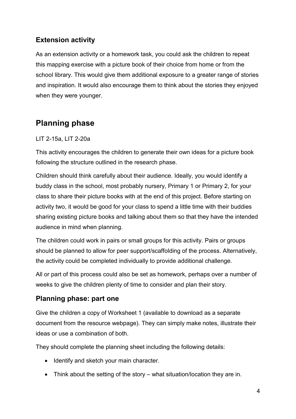## <span id="page-3-0"></span>**Extension activity**

As an extension activity or a homework task, you could ask the children to repeat this mapping exercise with a picture book of their choice from home or from the school library. This would give them additional exposure to a greater range of stories and inspiration. It would also encourage them to think about the stories they enjoyed when they were younger.

# <span id="page-3-1"></span>**Planning phase**

#### LIT 2-15a, LIT 2-20a

This activity encourages the children to generate their own ideas for a picture book following the structure outlined in the research phase.

Children should think carefully about their audience. Ideally, you would identify a buddy class in the school, most probably nursery, Primary 1 or Primary 2, for your class to share their picture books with at the end of this project. Before starting on activity two, it would be good for your class to spend a little time with their buddies sharing existing picture books and talking about them so that they have the intended audience in mind when planning.

The children could work in pairs or small groups for this activity. Pairs or groups should be planned to allow for peer support/scaffolding of the process. Alternatively, the activity could be completed individually to provide additional challenge.

All or part of this process could also be set as homework, perhaps over a number of weeks to give the children plenty of time to consider and plan their story.

## <span id="page-3-2"></span>**Planning phase: part one**

Give the children a copy of Worksheet 1 (available to download as a separate document from the resource webpage). They can simply make notes, illustrate their ideas or use a combination of both.

They should complete the planning sheet including the following details:

- Identify and sketch your main character.
- Think about the setting of the story what situation/location they are in.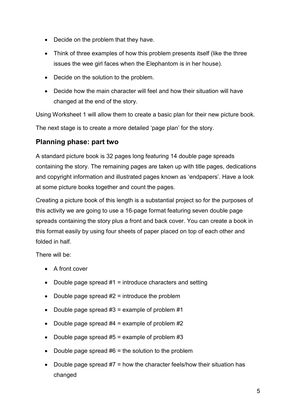- Decide on the problem that they have.
- Think of three examples of how this problem presents itself (like the three issues the wee girl faces when the Elephantom is in her house).
- Decide on the solution to the problem.
- Decide how the main character will feel and how their situation will have changed at the end of the story.

Using Worksheet 1 will allow them to create a basic plan for their new picture book.

The next stage is to create a more detailed 'page plan' for the story.

### <span id="page-4-0"></span>**Planning phase: part two**

A standard picture book is 32 pages long featuring 14 double page spreads containing the story. The remaining pages are taken up with title pages, dedications and copyright information and illustrated pages known as 'endpapers'. Have a look at some picture books together and count the pages.

Creating a picture book of this length is a substantial project so for the purposes of this activity we are going to use a 16-page format featuring seven double page spreads containing the story plus a front and back cover. You can create a book in this format easily by using four sheets of paper placed on top of each other and folded in half.

There will be:

- A front cover
- Double page spread  $#1 =$  introduce characters and setting
- Double page spread  $#2 =$  introduce the problem
- Double page spread  $#3$  = example of problem  $#1$
- Double page spread  $#4 =$  example of problem  $#2$
- Double page spread  $#5$  = example of problem  $#3$
- Double page spread  $#6 =$  the solution to the problem
- Double page spread  $#7$  = how the character feels/how their situation has changed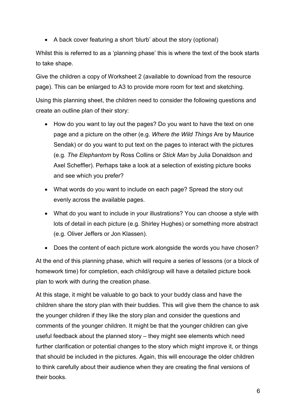• A back cover featuring a short 'blurb' about the story (optional)

Whilst this is referred to as a 'planning phase' this is where the text of the book starts to take shape.

Give the children a copy of Worksheet 2 (available to download from the resource page). This can be enlarged to A3 to provide more room for text and sketching.

Using this planning sheet, the children need to consider the following questions and create an outline plan of their story:

- How do you want to lay out the pages? Do you want to have the text on one page and a picture on the other (e.g. *Where the Wild Things* Are by Maurice Sendak) or do you want to put text on the pages to interact with the pictures (e.g. *The Elephantom* by Ross Collins or *Stick Man* by Julia Donaldson and Axel Scheffler). Perhaps take a look at a selection of existing picture books and see which you prefer?
- What words do you want to include on each page? Spread the story out evenly across the available pages.
- What do you want to include in your illustrations? You can choose a style with lots of detail in each picture (e.g. Shirley Hughes) or something more abstract (e.g. Oliver Jeffers or Jon Klassen).
- Does the content of each picture work alongside the words you have chosen?

At the end of this planning phase, which will require a series of lessons (or a block of homework time) for completion, each child/group will have a detailed picture book plan to work with during the creation phase.

At this stage, it might be valuable to go back to your buddy class and have the children share the story plan with their buddies. This will give them the chance to ask the younger children if they like the story plan and consider the questions and comments of the younger children. It might be that the younger children can give useful feedback about the planned story – they might see elements which need further clarification or potential changes to the story which might improve it, or things that should be included in the pictures. Again, this will encourage the older children to think carefully about their audience when they are creating the final versions of their books.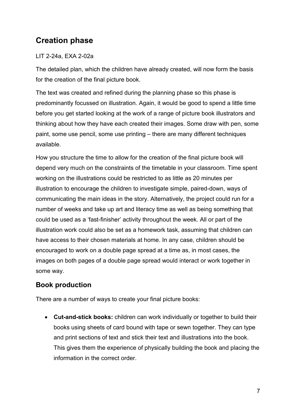# <span id="page-6-0"></span>**Creation phase**

#### LIT 2-24a, EXA 2-02a

The detailed plan, which the children have already created, will now form the basis for the creation of the final picture book.

The text was created and refined during the planning phase so this phase is predominantly focussed on illustration. Again, it would be good to spend a little time before you get started looking at the work of a range of picture book illustrators and thinking about how they have each created their images. Some draw with pen, some paint, some use pencil, some use printing – there are many different techniques available.

How you structure the time to allow for the creation of the final picture book will depend very much on the constraints of the timetable in your classroom. Time spent working on the illustrations could be restricted to as little as 20 minutes per illustration to encourage the children to investigate simple, paired-down, ways of communicating the main ideas in the story. Alternatively, the project could run for a number of weeks and take up art and literacy time as well as being something that could be used as a 'fast-finisher' activity throughout the week. All or part of the illustration work could also be set as a homework task, assuming that children can have access to their chosen materials at home. In any case, children should be encouraged to work on a double page spread at a time as, in most cases, the images on both pages of a double page spread would interact or work together in some way.

## <span id="page-6-1"></span>**Book production**

There are a number of ways to create your final picture books:

• **Cut-and-stick books:** children can work individually or together to build their books using sheets of card bound with tape or sewn together. They can type and print sections of text and stick their text and illustrations into the book. This gives them the experience of physically building the book and placing the information in the correct order.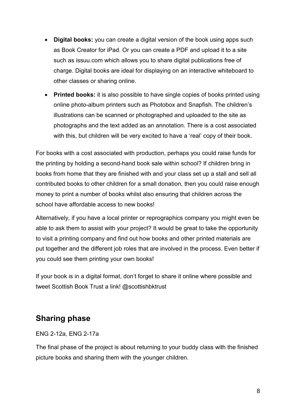- **Digital books:** you can create a digital version of the book using apps such as Book Creator for iPad. Or you can create a PDF and upload it to a site such as issuu.com which allows you to share digital publications free of charge. Digital books are ideal for displaying on an interactive whiteboard to other classes or sharing online.
- **Printed books:** it is also possible to have single copies of books printed using online photo-album printers such as Photobox and Snapfish. The children's illustrations can be scanned or photographed and uploaded to the site as photographs and the text added as an annotation. There is a cost associated with this, but children will be very excited to have a 'real' copy of their book.

For books with a cost associated with production, perhaps you could raise funds for the printing by holding a second-hand book sale within school? If children bring in books from home that they are finished with and your class set up a stall and sell all contributed books to other children for a small donation, then you could raise enough money to print a number of books whilst also ensuring that children across the school have affordable access to new books!

Alternatively, if you have a local printer or reprographics company you might even be able to ask them to assist with your project? It would be great to take the opportunity to visit a printing company and find out how books and other printed materials are put together and the different job roles that are involved in the process. Even better if you could see them printing your own books!

If your book is in a digital format, don't forget to share it online where possible and tweet Scottish Book Trust a link! @scottishbktrust

## <span id="page-7-0"></span>**Sharing phase**

ENG 2-12a, ENG 2-17a

The final phase of the project is about returning to your buddy class with the finished picture books and sharing them with the younger children.